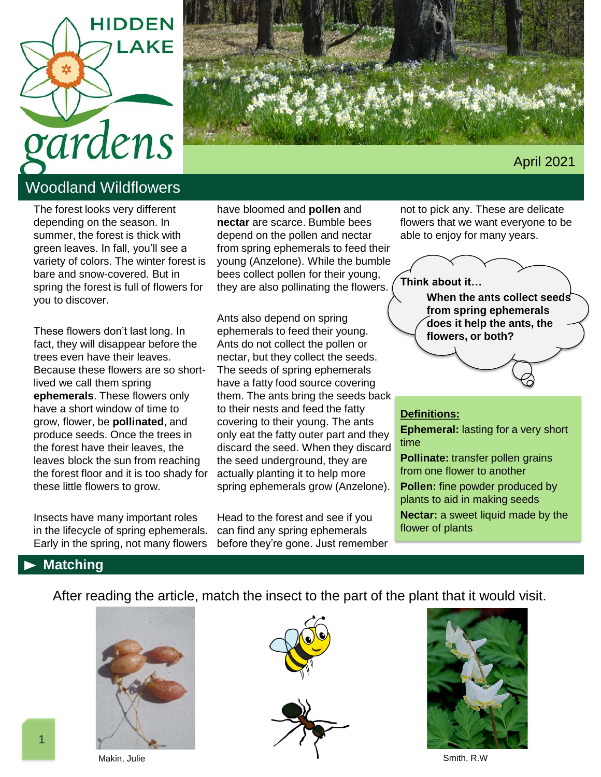



# Woodland Wildflowers

The forest looks very different depending on the season. In summer, the forest is thick with green leaves. In fall, you'll see a variety of colors. The winter forest is bare and snow-covered. But in spring the forest is full of flowers for you to discover.

These flowers don't last long. In fact, they will disappear before the trees even have their leaves. Because these flowers are so shortlived we call them spring **ephemerals**. These flowers only have a short window of time to grow, flower, be **pollinated**, and produce seeds. Once the trees in the forest have their leaves, the leaves block the sun from reaching the forest floor and it is too shady for these little flowers to grow.

Insects have many important roles in the lifecycle of spring ephemerals. Early in the spring, not many flowers

have bloomed and **pollen** and **nectar** are scarce. Bumble bees depend on the pollen and nectar from spring ephemerals to feed their young (Anzelone). While the bumble bees collect pollen for their young, they are also pollinating the flowers.

Ants also depend on spring ephemerals to feed their young. Ants do not collect the pollen or nectar, but they collect the seeds. The seeds of spring ephemerals have a fatty food source covering them. The ants bring the seeds back to their nests and feed the fatty covering to their young. The ants only eat the fatty outer part and they discard the seed. When they discard the seed underground, they are actually planting it to help more spring ephemerals grow (Anzelone).

Head to the forest and see if you can find any spring ephemerals before they're gone. Just remember

not to pick any. These are delicate flowers that we want everyone to be able to enjoy for many years.

**Think about it…**



#### **Definitions:**

**Ephemeral:** lasting for a very short time

**Pollinate:** transfer pollen grains from one flower to another

**Pollen:** fine powder produced by plants to aid in making seeds

**Nectar:** a sweet liquid made by the flower of plants

## **Matching**

After reading the article, match the insect to the part of the plant that it would visit.







Smith, R.W

Makin, Julie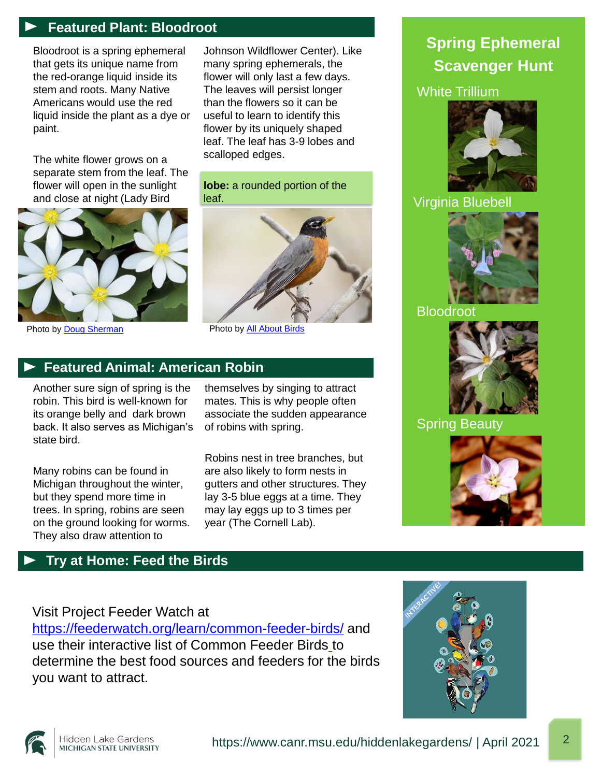## **Featured Plant: Bloodroot**

Bloodroot is a spring ephemeral that gets its unique name from the red-orange liquid inside its stem and roots. Many Native Americans would use the red liquid inside the plant as a dye or paint.

The white flower grows on a separate stem from the leaf. The flower will open in the sunlight and close at night (Lady Bird



Photo by **Doug Sherman** [Photo by All About Birds](https://www.allaboutbirds.org/guide/Great_Horned_Owl/overview)

Johnson Wildflower Center). Like many spring ephemerals, the flower will only last a few days. The leaves will persist longer than the flowers so it can be useful to learn to identify this flower by its uniquely shaped leaf. The leaf has 3-9 lobes and scalloped edges.

**lobe:** a rounded portion of the leaf.



## **Featured Animal: American Robin**

Another sure sign of spring is the robin. This bird is well-known for its orange belly and dark brown back. It also serves as Michigan's state bird.

Many robins can be found in Michigan throughout the winter, but they spend more time in trees. In spring, robins are seen on the ground looking for worms. They also draw attention to

themselves by singing to attract mates. This is why people often associate the sudden appearance of robins with spring.

Robins nest in tree branches, but are also likely to form nests in gutters and other structures. They lay 3-5 blue eggs at a time. They may lay eggs up to 3 times per year (The Cornell Lab).

# **Spring Ephemeral Scavenger Hunt**

#### White Trillium



## Virginia Bluebell



### Bloodroot



## Spring Beauty



## **Try at Home: Feed the Birds**

# Visit Project Feeder Watch at

<https://feederwatch.org/learn/common-feeder-birds/> and use their interactive list of Common Feeder Birds to determine the best food sources and feeders for the birds you want to attract.